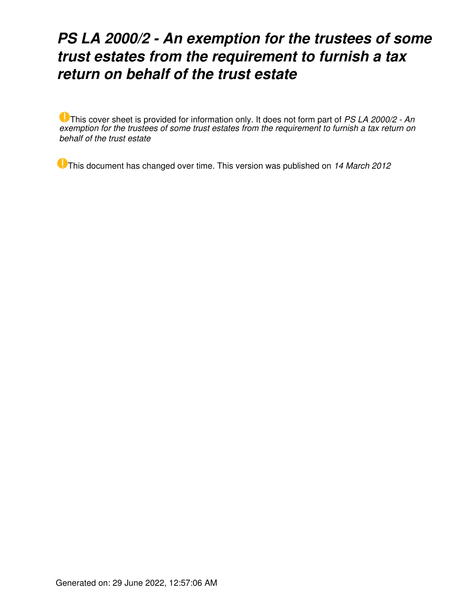# *PS LA 2000/2 - An exemption for the trustees of some trust estates from the requirement to furnish a tax return on behalf of the trust estate*

This cover sheet is provided for information only. It does not form part of *PS LA 2000/2 - An exemption for the trustees of some trust estates from the requirement to furnish a tax return on behalf of the trust estate*

This document has changed over time. This version was published on *14 March 2012*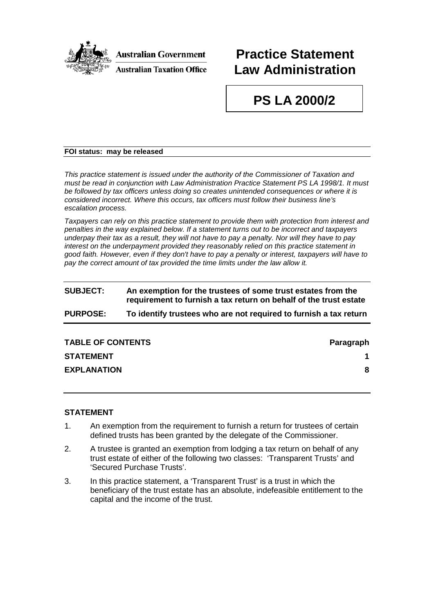

**Australian Government** 

## **Practice Statement Law Administration**

## **PS LA 2000/2**

### **FOI status: may be released**

*This practice statement is issued under the authority of the Commissioner of Taxation and must be read in conjunction with Law Administration Practice Statement PS LA 1998/1. It must be followed by tax officers unless doing so creates unintended consequences or where it is considered incorrect. Where this occurs, tax officers must follow their business line's escalation process.*

*Taxpayers can rely on this practice statement to provide them with protection from interest and penalties in the way explained below. If a statement turns out to be incorrect and taxpayers underpay their tax as a result, they will not have to pay a penalty. Nor will they have to pay interest on the underpayment provided they reasonably relied on this practice statement in good faith. However, even if they don't have to pay a penalty or interest, taxpayers will have to*  pay the correct amount of tax provided the time limits under the law allow it.

### **SUBJECT: An exemption for the trustees of some trust estates from the requirement to furnish a tax return on behalf of the trust estate PURPOSE: To identify trustees who are not required to furnish a tax return**

| <b>TABLE OF CONTENTS</b> | Paragraph |
|--------------------------|-----------|
| <b>STATEMENT</b>         |           |
| <b>EXPLANATION</b>       | 8         |

### **STATEMENT**

- 1. An exemption from the requirement to furnish a return for trustees of certain defined trusts has been granted by the delegate of the Commissioner.
- 2. A trustee is granted an exemption from lodging a tax return on behalf of any trust estate of either of the following two classes: 'Transparent Trusts' and 'Secured Purchase Trusts'.
- 3. In this practice statement, a 'Transparent Trust' is a trust in which the beneficiary of the trust estate has an absolute, indefeasible entitlement to the capital and the income of the trust.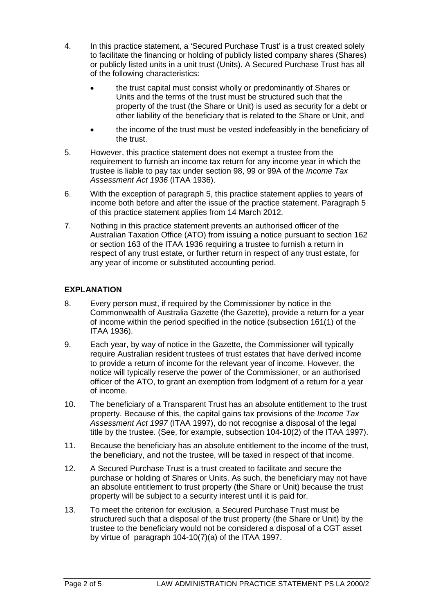- 4. In this practice statement, a 'Secured Purchase Trust' is a trust created solely to facilitate the financing or holding of publicly listed company shares (Shares) or publicly listed units in a unit trust (Units). A Secured Purchase Trust has all of the following characteristics:
	- the trust capital must consist wholly or predominantly of Shares or Units and the terms of the trust must be structured such that the property of the trust (the Share or Unit) is used as security for a debt or other liability of the beneficiary that is related to the Share or Unit, and
	- the income of the trust must be vested indefeasibly in the beneficiary of the trust.
- 5. However, this practice statement does not exempt a trustee from the requirement to furnish an income tax return for any income year in which the trustee is liable to pay tax under section 98, 99 or 99A of the *Income Tax Assessment Act 1936* (ITAA 1936).
- 6. With the exception of paragraph 5, this practice statement applies to years of income both before and after the issue of the practice statement. Paragraph 5 of this practice statement applies from 14 March 2012.
- 7. Nothing in this practice statement prevents an authorised officer of the Australian Taxation Office (ATO) from issuing a notice pursuant to section 162 or section 163 of the ITAA 1936 requiring a trustee to furnish a return in respect of any trust estate, or further return in respect of any trust estate, for any year of income or substituted accounting period.

### **EXPLANATION**

- 8. Every person must, if required by the Commissioner by notice in the Commonwealth of Australia Gazette (the Gazette), provide a return for a year of income within the period specified in the notice (subsection 161(1) of the ITAA 1936).
- 9. Each year, by way of notice in the Gazette, the Commissioner will typically require Australian resident trustees of trust estates that have derived income to provide a return of income for the relevant year of income. However, the notice will typically reserve the power of the Commissioner, or an authorised officer of the ATO, to grant an exemption from lodgment of a return for a year of income.
- 10. The beneficiary of a Transparent Trust has an absolute entitlement to the trust property. Because of this, the capital gains tax provisions of the *Income Tax Assessment Act 1997* (ITAA 1997), do not recognise a disposal of the legal title by the trustee. (See, for example, subsection 104-10(2) of the ITAA 1997).
- 11. Because the beneficiary has an absolute entitlement to the income of the trust, the beneficiary, and not the trustee, will be taxed in respect of that income.
- 12. A Secured Purchase Trust is a trust created to facilitate and secure the purchase or holding of Shares or Units. As such, the beneficiary may not have an absolute entitlement to trust property (the Share or Unit) because the trust property will be subject to a security interest until it is paid for.
- 13. To meet the criterion for exclusion, a Secured Purchase Trust must be structured such that a disposal of the trust property (the Share or Unit) by the trustee to the beneficiary would not be considered a disposal of a CGT asset by virtue of paragraph 104-10(7)(a) of the ITAA 1997.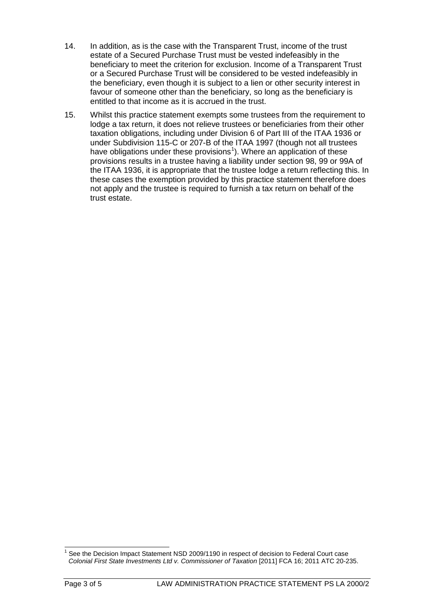- 14. In addition, as is the case with the Transparent Trust, income of the trust estate of a Secured Purchase Trust must be vested indefeasibly in the beneficiary to meet the criterion for exclusion. Income of a Transparent Trust or a Secured Purchase Trust will be considered to be vested indefeasibly in the beneficiary, even though it is subject to a lien or other security interest in favour of someone other than the beneficiary, so long as the beneficiary is entitled to that income as it is accrued in the trust.
- 15. Whilst this practice statement exempts some trustees from the requirement to lodge a tax return, it does not relieve trustees or beneficiaries from their other taxation obligations, including under Division 6 of Part III of the ITAA 1936 or under Subdivision 115-C or 207-B of the ITAA 1997 (though not all trustees have obligations under these provisions<sup>[1](#page-3-0)</sup>). Where an application of these provisions results in a trustee having a liability under section 98, 99 or 99A of the ITAA 1936, it is appropriate that the trustee lodge a return reflecting this. In these cases the exemption provided by this practice statement therefore does not apply and the trustee is required to furnish a tax return on behalf of the trust estate.

<span id="page-3-0"></span>See the Decision Impact Statement NSD 2009/1190 in respect of decision to Federal Court case *Colonial First State Investments Ltd v. Commissioner of Taxation* [2011] FCA 16; 2011 ATC 20-235.  $\overline{\phantom{a}}$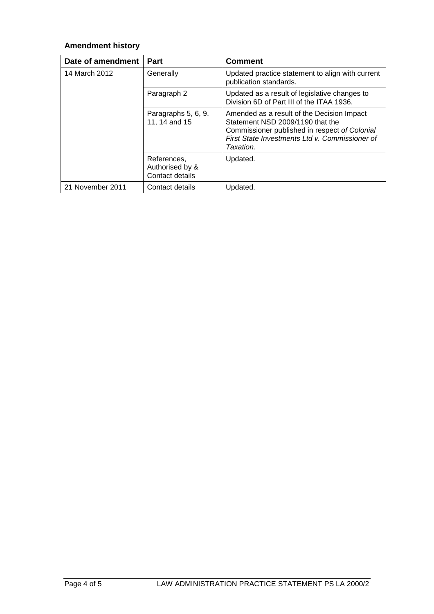## **Amendment history**

| Date of amendment | Part                                              | <b>Comment</b>                                                                                                                                                                                 |
|-------------------|---------------------------------------------------|------------------------------------------------------------------------------------------------------------------------------------------------------------------------------------------------|
| 14 March 2012     | Generally                                         | Updated practice statement to align with current<br>publication standards.                                                                                                                     |
|                   | Paragraph 2                                       | Updated as a result of legislative changes to<br>Division 6D of Part III of the ITAA 1936.                                                                                                     |
|                   | Paragraphs 5, 6, 9,<br>11, 14 and 15              | Amended as a result of the Decision Impact<br>Statement NSD 2009/1190 that the<br>Commissioner published in respect of Colonial<br>First State Investments Ltd v. Commissioner of<br>Taxation. |
|                   | References,<br>Authorised by &<br>Contact details | Updated.                                                                                                                                                                                       |
| 21 November 2011  | Contact details                                   | Updated.                                                                                                                                                                                       |